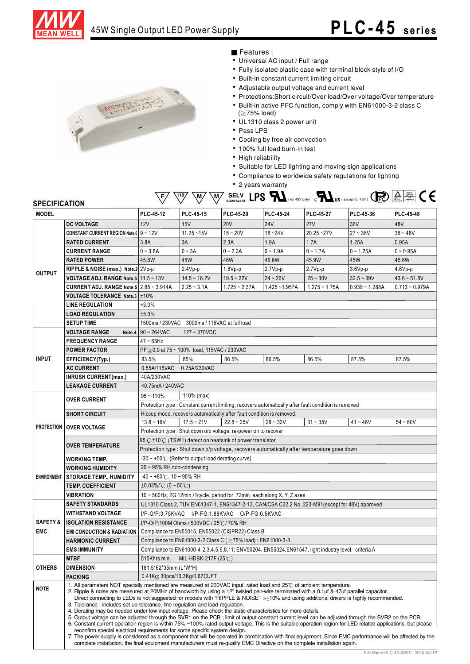



#### Features :

- Universal AC input / Full range
- Fully isolated plastic case with terminal block style of I/O
- Built-in constant current limiting circuit
- Adjustable output voltage and current level
- Protections:Short circuit/Over load/Over voltage/Over temperature
- Built-in active PFC function, comply with EN61000-3-2 class C
- $( \geq 75\%$  load)
- UL1310 class 2 power unit
- Pass LPS
- Cooling by free air convection
- 100% full load burn-in test
- High reliability
- Suitable for LED lighting and moving sign applications
- Compliance to worldwide safety regulations for lighting
- 2 years warranty



| <b>SPECIFICATION</b> |                                                |                                                                                                                                                                                                                                                                                                                                                                                                                                                                                                                                                                                                                                                                                                                                                                                                                                                                                                                                                                                                                                                                                                                                                                                                                                                                                                            |                                                              |                                                                   |                                                                         |                                                                                                      | <b>EQUIVALENT LID IN (for 48V only)</b> $\mathbf{c}$ <b>NUS</b> (except for 48V) $\mathbf{C}$ $\mathbf{E}$ $\mathbf{C}$ $\mathbf{C}$ $\mathbf{C}$ $\mathbf{C}$ $\mathbf{C}$ $\mathbf{C}$ $\mathbf{C}$ $\mathbf{C}$ $\mathbf{C}$ $\mathbf{C}$ $\mathbf{C}$ $\mathbf{C}$ $\mathbf{C}$ $\mathbf{C}$ $\mathbf{C}$ |                  |  |
|----------------------|------------------------------------------------|------------------------------------------------------------------------------------------------------------------------------------------------------------------------------------------------------------------------------------------------------------------------------------------------------------------------------------------------------------------------------------------------------------------------------------------------------------------------------------------------------------------------------------------------------------------------------------------------------------------------------------------------------------------------------------------------------------------------------------------------------------------------------------------------------------------------------------------------------------------------------------------------------------------------------------------------------------------------------------------------------------------------------------------------------------------------------------------------------------------------------------------------------------------------------------------------------------------------------------------------------------------------------------------------------------|--------------------------------------------------------------|-------------------------------------------------------------------|-------------------------------------------------------------------------|------------------------------------------------------------------------------------------------------|---------------------------------------------------------------------------------------------------------------------------------------------------------------------------------------------------------------------------------------------------------------------------------------------------------------|------------------|--|
| <b>MODEL</b>         |                                                | PLC-45-12                                                                                                                                                                                                                                                                                                                                                                                                                                                                                                                                                                                                                                                                                                                                                                                                                                                                                                                                                                                                                                                                                                                                                                                                                                                                                                  | PLC-45-15                                                    | <b>PLC-45-20</b>                                                  | <b>PLC-45-24</b>                                                        | <b>PLC-45-27</b>                                                                                     | PLC-45-36                                                                                                                                                                                                                                                                                                     | PLC-45-48        |  |
|                      | <b>DC VOLTAGE</b>                              | 12V                                                                                                                                                                                                                                                                                                                                                                                                                                                                                                                                                                                                                                                                                                                                                                                                                                                                                                                                                                                                                                                                                                                                                                                                                                                                                                        | 15V                                                          | <b>20V</b>                                                        | <b>24V</b>                                                              | 27V                                                                                                  | 36V                                                                                                                                                                                                                                                                                                           | 48V              |  |
|                      | <b>CONSTANT CURRENT REGION Note.6 9 ~ 12V</b>  |                                                                                                                                                                                                                                                                                                                                                                                                                                                                                                                                                                                                                                                                                                                                                                                                                                                                                                                                                                                                                                                                                                                                                                                                                                                                                                            | $11.25 - 15V$                                                | $15 - 20V$                                                        | $18 - 24V$                                                              | $20.25 - 27V$                                                                                        | $27 - 36V$                                                                                                                                                                                                                                                                                                    | $36 - 48V$       |  |
|                      | <b>RATED CURRENT</b>                           | 3.8A                                                                                                                                                                                                                                                                                                                                                                                                                                                                                                                                                                                                                                                                                                                                                                                                                                                                                                                                                                                                                                                                                                                                                                                                                                                                                                       | 3A                                                           | 2.3A                                                              | 1.9A                                                                    | 1.7A                                                                                                 | 1.25A                                                                                                                                                                                                                                                                                                         | 0.95A            |  |
|                      | <b>CURRENT RANGE</b>                           | $0 - 3.8A$                                                                                                                                                                                                                                                                                                                                                                                                                                                                                                                                                                                                                                                                                                                                                                                                                                                                                                                                                                                                                                                                                                                                                                                                                                                                                                 | $0 - 3A$                                                     | $0 - 2.3A$                                                        | $0 - 1.9A$                                                              | $0 - 1.7A$                                                                                           | $0 - 1.25A$                                                                                                                                                                                                                                                                                                   | $0 - 0.95A$      |  |
|                      | <b>RATED POWER</b>                             | 45.6W                                                                                                                                                                                                                                                                                                                                                                                                                                                                                                                                                                                                                                                                                                                                                                                                                                                                                                                                                                                                                                                                                                                                                                                                                                                                                                      | 45W                                                          | 46W                                                               | 45.6W                                                                   | 45.9W                                                                                                | 45W                                                                                                                                                                                                                                                                                                           | 45.6W            |  |
|                      | RIPPLE & NOISE (max.) Note.2 2Vp-p             |                                                                                                                                                                                                                                                                                                                                                                                                                                                                                                                                                                                                                                                                                                                                                                                                                                                                                                                                                                                                                                                                                                                                                                                                                                                                                                            | $2.4Vp-p$                                                    | $1.8Vp-p$                                                         | $2.7Vp-p$                                                               | $2.7Vp-p$                                                                                            | $3.6Vp-p$                                                                                                                                                                                                                                                                                                     | $4.6Vp-p$        |  |
| <b>OUTPUT</b>        | <b>VOLTAGE ADJ. RANGE Note.5   11.5 ~ 13V</b>  |                                                                                                                                                                                                                                                                                                                                                                                                                                                                                                                                                                                                                                                                                                                                                                                                                                                                                                                                                                                                                                                                                                                                                                                                                                                                                                            | $14.5 - 16.2V$                                               | $19.5 - 22V$                                                      | $24 - 26V$                                                              | $25 - 30V$                                                                                           | $32.5 - 39V$                                                                                                                                                                                                                                                                                                  | $43.6 - 51.8V$   |  |
|                      | <b>CURRENT ADJ. RANGE Note.5 2.85 ~ 3.914A</b> |                                                                                                                                                                                                                                                                                                                                                                                                                                                                                                                                                                                                                                                                                                                                                                                                                                                                                                                                                                                                                                                                                                                                                                                                                                                                                                            | $2.25 - 3.1A$                                                | $1.725 - 2.37A$                                                   | $1.425 - 1.957A$                                                        | $1.275 - 1.75A$                                                                                      | $0.938 - 1.288A$                                                                                                                                                                                                                                                                                              | $0.713 - 0.979A$ |  |
|                      | <b>VOLTAGE TOLERANCE Note.3   ±10%</b>         |                                                                                                                                                                                                                                                                                                                                                                                                                                                                                                                                                                                                                                                                                                                                                                                                                                                                                                                                                                                                                                                                                                                                                                                                                                                                                                            |                                                              |                                                                   |                                                                         |                                                                                                      |                                                                                                                                                                                                                                                                                                               |                  |  |
|                      | <b>LINE REGULATION</b>                         | ±3.0%                                                                                                                                                                                                                                                                                                                                                                                                                                                                                                                                                                                                                                                                                                                                                                                                                                                                                                                                                                                                                                                                                                                                                                                                                                                                                                      |                                                              |                                                                   |                                                                         |                                                                                                      |                                                                                                                                                                                                                                                                                                               |                  |  |
|                      | <b>LOAD REGULATION</b>                         | ±5.0%                                                                                                                                                                                                                                                                                                                                                                                                                                                                                                                                                                                                                                                                                                                                                                                                                                                                                                                                                                                                                                                                                                                                                                                                                                                                                                      |                                                              |                                                                   |                                                                         |                                                                                                      |                                                                                                                                                                                                                                                                                                               |                  |  |
|                      | <b>SETUP TIME</b>                              |                                                                                                                                                                                                                                                                                                                                                                                                                                                                                                                                                                                                                                                                                                                                                                                                                                                                                                                                                                                                                                                                                                                                                                                                                                                                                                            | 1500ms / 230VAC 3000ms / 115VAC at full load                 |                                                                   |                                                                         |                                                                                                      |                                                                                                                                                                                                                                                                                                               |                  |  |
|                      | <b>VOLTAGE RANGE</b><br>Note.4                 | $90 - 264$ VAC                                                                                                                                                                                                                                                                                                                                                                                                                                                                                                                                                                                                                                                                                                                                                                                                                                                                                                                                                                                                                                                                                                                                                                                                                                                                                             | $127 - 370$ VDC                                              |                                                                   |                                                                         |                                                                                                      |                                                                                                                                                                                                                                                                                                               |                  |  |
|                      | <b>FREQUENCY RANGE</b>                         | $47 - 63$ Hz                                                                                                                                                                                                                                                                                                                                                                                                                                                                                                                                                                                                                                                                                                                                                                                                                                                                                                                                                                                                                                                                                                                                                                                                                                                                                               |                                                              |                                                                   |                                                                         |                                                                                                      |                                                                                                                                                                                                                                                                                                               |                  |  |
|                      | <b>POWER FACTOR</b>                            |                                                                                                                                                                                                                                                                                                                                                                                                                                                                                                                                                                                                                                                                                                                                                                                                                                                                                                                                                                                                                                                                                                                                                                                                                                                                                                            | $PF \ge 0.9$ at 75 ~ 100% load, 115VAC / 230VAC              |                                                                   |                                                                         |                                                                                                      |                                                                                                                                                                                                                                                                                                               |                  |  |
| <b>INPUT</b>         | EFFICIENCY(Typ.)                               | 83.5%                                                                                                                                                                                                                                                                                                                                                                                                                                                                                                                                                                                                                                                                                                                                                                                                                                                                                                                                                                                                                                                                                                                                                                                                                                                                                                      | 85%                                                          | 86.5%                                                             | 86.5%                                                                   | 86.5%                                                                                                | 87.5%                                                                                                                                                                                                                                                                                                         | 87.5%            |  |
|                      | <b>AC CURRENT</b>                              | 0.55A/115VAC                                                                                                                                                                                                                                                                                                                                                                                                                                                                                                                                                                                                                                                                                                                                                                                                                                                                                                                                                                                                                                                                                                                                                                                                                                                                                               | 0.25A/230VAC                                                 |                                                                   |                                                                         |                                                                                                      |                                                                                                                                                                                                                                                                                                               |                  |  |
|                      | <b>INRUSH CURRENT(max.)</b>                    | 40A/230VAC                                                                                                                                                                                                                                                                                                                                                                                                                                                                                                                                                                                                                                                                                                                                                                                                                                                                                                                                                                                                                                                                                                                                                                                                                                                                                                 |                                                              |                                                                   |                                                                         |                                                                                                      |                                                                                                                                                                                                                                                                                                               |                  |  |
|                      | <b>LEAKAGE CURRENT</b>                         | <0.75mA / 240VAC                                                                                                                                                                                                                                                                                                                                                                                                                                                                                                                                                                                                                                                                                                                                                                                                                                                                                                                                                                                                                                                                                                                                                                                                                                                                                           |                                                              |                                                                   |                                                                         |                                                                                                      |                                                                                                                                                                                                                                                                                                               |                  |  |
|                      | <b>OVER CURRENT</b>                            | $95 - 110%$                                                                                                                                                                                                                                                                                                                                                                                                                                                                                                                                                                                                                                                                                                                                                                                                                                                                                                                                                                                                                                                                                                                                                                                                                                                                                                | 110% (max)                                                   |                                                                   |                                                                         |                                                                                                      |                                                                                                                                                                                                                                                                                                               |                  |  |
|                      |                                                | Protection type : Constant current limiting, recovers automatically after fault condition is removed                                                                                                                                                                                                                                                                                                                                                                                                                                                                                                                                                                                                                                                                                                                                                                                                                                                                                                                                                                                                                                                                                                                                                                                                       |                                                              |                                                                   |                                                                         |                                                                                                      |                                                                                                                                                                                                                                                                                                               |                  |  |
|                      | <b>SHORT CIRCUIT</b>                           | Hiccup mode, recovers automatically after fault condition is removed.                                                                                                                                                                                                                                                                                                                                                                                                                                                                                                                                                                                                                                                                                                                                                                                                                                                                                                                                                                                                                                                                                                                                                                                                                                      |                                                              |                                                                   |                                                                         |                                                                                                      |                                                                                                                                                                                                                                                                                                               |                  |  |
|                      | PROTECTION   OVER VOLTAGE                      | $13.8 - 16V$                                                                                                                                                                                                                                                                                                                                                                                                                                                                                                                                                                                                                                                                                                                                                                                                                                                                                                                                                                                                                                                                                                                                                                                                                                                                                               | $17.5 - 21V$                                                 | $22.8 - 25V$                                                      | $28 - 32V$                                                              | $31 - 35V$                                                                                           | $41 - 46V$                                                                                                                                                                                                                                                                                                    | $54 - 60V$       |  |
|                      |                                                |                                                                                                                                                                                                                                                                                                                                                                                                                                                                                                                                                                                                                                                                                                                                                                                                                                                                                                                                                                                                                                                                                                                                                                                                                                                                                                            |                                                              | Protection type : Shut down o/p voltage, re-power on to recover   |                                                                         |                                                                                                      |                                                                                                                                                                                                                                                                                                               |                  |  |
|                      | <b>OVER TEMPERATURE</b>                        |                                                                                                                                                                                                                                                                                                                                                                                                                                                                                                                                                                                                                                                                                                                                                                                                                                                                                                                                                                                                                                                                                                                                                                                                                                                                                                            | 95℃ ±10℃ (TSW1) detect on heatsink of power transistor       |                                                                   |                                                                         |                                                                                                      |                                                                                                                                                                                                                                                                                                               |                  |  |
|                      |                                                |                                                                                                                                                                                                                                                                                                                                                                                                                                                                                                                                                                                                                                                                                                                                                                                                                                                                                                                                                                                                                                                                                                                                                                                                                                                                                                            |                                                              |                                                                   |                                                                         | Protection type : Shut down o/p voltage, recovers automatically after temperature goes down          |                                                                                                                                                                                                                                                                                                               |                  |  |
|                      | <b>WORKING TEMP.</b>                           |                                                                                                                                                                                                                                                                                                                                                                                                                                                                                                                                                                                                                                                                                                                                                                                                                                                                                                                                                                                                                                                                                                                                                                                                                                                                                                            | $-30 \sim +50^{\circ}$ (Refer to output load derating curve) |                                                                   |                                                                         |                                                                                                      |                                                                                                                                                                                                                                                                                                               |                  |  |
|                      | <b>WORKING HUMIDITY</b>                        | $20 \sim 95\%$ RH non-condensing                                                                                                                                                                                                                                                                                                                                                                                                                                                                                                                                                                                                                                                                                                                                                                                                                                                                                                                                                                                                                                                                                                                                                                                                                                                                           |                                                              |                                                                   |                                                                         |                                                                                                      |                                                                                                                                                                                                                                                                                                               |                  |  |
| <b>ENVIRONMENT</b>   | <b>STORAGE TEMP., HUMIDITY</b>                 | $-40 \sim +80^{\circ}$ C, 10 ~ 95% RH                                                                                                                                                                                                                                                                                                                                                                                                                                                                                                                                                                                                                                                                                                                                                                                                                                                                                                                                                                                                                                                                                                                                                                                                                                                                      |                                                              |                                                                   |                                                                         |                                                                                                      |                                                                                                                                                                                                                                                                                                               |                  |  |
|                      | <b>TEMP. COEFFICIENT</b>                       | $\pm 0.03\%$ /°C (0 ~ 50°C)                                                                                                                                                                                                                                                                                                                                                                                                                                                                                                                                                                                                                                                                                                                                                                                                                                                                                                                                                                                                                                                                                                                                                                                                                                                                                |                                                              |                                                                   |                                                                         |                                                                                                      |                                                                                                                                                                                                                                                                                                               |                  |  |
|                      | <b>VIBRATION</b>                               |                                                                                                                                                                                                                                                                                                                                                                                                                                                                                                                                                                                                                                                                                                                                                                                                                                                                                                                                                                                                                                                                                                                                                                                                                                                                                                            |                                                              |                                                                   | 10 ~ 500Hz, 2G 12min./1cycle, period for 72min. each along X, Y, Z axes |                                                                                                      |                                                                                                                                                                                                                                                                                                               |                  |  |
|                      | <b>SAFETY STANDARDS</b>                        |                                                                                                                                                                                                                                                                                                                                                                                                                                                                                                                                                                                                                                                                                                                                                                                                                                                                                                                                                                                                                                                                                                                                                                                                                                                                                                            |                                                              |                                                                   |                                                                         | UL1310 Class 2, TUV EN61347-1, EN61347-2-13, CAN/CSA C22.2 No. 223-M91(except for 48V) approved      |                                                                                                                                                                                                                                                                                                               |                  |  |
|                      | <b>WITHSTAND VOLTAGE</b>                       |                                                                                                                                                                                                                                                                                                                                                                                                                                                                                                                                                                                                                                                                                                                                                                                                                                                                                                                                                                                                                                                                                                                                                                                                                                                                                                            |                                                              | I/P-O/P:3.75KVAC I/P-FG:1.88KVAC O/P-FG:0.5KVAC                   |                                                                         |                                                                                                      |                                                                                                                                                                                                                                                                                                               |                  |  |
| <b>SAFETY &amp;</b>  | <b>ISOLATION RESISTANCE</b>                    |                                                                                                                                                                                                                                                                                                                                                                                                                                                                                                                                                                                                                                                                                                                                                                                                                                                                                                                                                                                                                                                                                                                                                                                                                                                                                                            | I/P-O/P:100M Ohms / 500VDC / 25°C / 70% RH                   |                                                                   |                                                                         |                                                                                                      |                                                                                                                                                                                                                                                                                                               |                  |  |
| <b>EMC</b>           | <b>EMI CONDUCTION &amp; RADIATION</b>          |                                                                                                                                                                                                                                                                                                                                                                                                                                                                                                                                                                                                                                                                                                                                                                                                                                                                                                                                                                                                                                                                                                                                                                                                                                                                                                            |                                                              | Compliance to EN55015, EN55022 (CISPR22) Class B                  |                                                                         |                                                                                                      |                                                                                                                                                                                                                                                                                                               |                  |  |
|                      | <b>HARMONIC CURRENT</b>                        |                                                                                                                                                                                                                                                                                                                                                                                                                                                                                                                                                                                                                                                                                                                                                                                                                                                                                                                                                                                                                                                                                                                                                                                                                                                                                                            |                                                              | Compliance to EN61000-3-2 Class C ( $\geq$ 75% load); EN61000-3-3 |                                                                         |                                                                                                      |                                                                                                                                                                                                                                                                                                               |                  |  |
|                      | <b>EMS IMMUNITY</b>                            |                                                                                                                                                                                                                                                                                                                                                                                                                                                                                                                                                                                                                                                                                                                                                                                                                                                                                                                                                                                                                                                                                                                                                                                                                                                                                                            |                                                              |                                                                   |                                                                         | Compliance to EN61000-4-2,3,4,5,6,8,11; ENV50204, EN55024, EN61547, light industry level, criteria A |                                                                                                                                                                                                                                                                                                               |                  |  |
|                      | <b>MTBF</b>                                    | 515Khrs min.                                                                                                                                                                                                                                                                                                                                                                                                                                                                                                                                                                                                                                                                                                                                                                                                                                                                                                                                                                                                                                                                                                                                                                                                                                                                                               | MIL-HDBK-217F (25 $\degree$ C)                               |                                                                   |                                                                         |                                                                                                      |                                                                                                                                                                                                                                                                                                               |                  |  |
| <b>OTHERS</b>        | <b>DIMENSION</b>                               | 181.5*62*35mm (L*W*H)                                                                                                                                                                                                                                                                                                                                                                                                                                                                                                                                                                                                                                                                                                                                                                                                                                                                                                                                                                                                                                                                                                                                                                                                                                                                                      |                                                              |                                                                   |                                                                         |                                                                                                      |                                                                                                                                                                                                                                                                                                               |                  |  |
|                      | <b>PACKING</b>                                 | 0.41Kg; 30pcs/13.3Kg/0.67CUFT                                                                                                                                                                                                                                                                                                                                                                                                                                                                                                                                                                                                                                                                                                                                                                                                                                                                                                                                                                                                                                                                                                                                                                                                                                                                              |                                                              |                                                                   |                                                                         |                                                                                                      |                                                                                                                                                                                                                                                                                                               |                  |  |
| <b>NOTE</b>          |                                                | 1. All parameters NOT specially mentioned are measured at 230VAC input, rated load and 25°C of ambient temperature.<br>2. Ripple & noise are measured at 20MHz of bandwidth by using a 12" twisted pair-wire terminated with a 0.1uf & 47uf parallel capacitor.<br>Direct connecting to LEDs is not suggested for models with "RIPPLE & NOISE" $>10\%$ and using additional drivers is highly recommended.<br>3. Tolerance: includes set up tolerance, line regulation and load regulation.<br>4. Derating may be needed under low input voltage. Please check the static characteristics for more details.<br>5. Output voltage can be adjusted through the SVR1 on the PCB; limit of output constant current level can be adjusted through the SVR2 on the PCB.<br>6. Constant current operation region is within 75%~100% rated output voltage. This is the suitable operation region for LED related applications, but please<br>reconfirm special electrical requirements for some specific system design.<br>7. The power supply is considered as a component that will be operated in combination with final equipment. Since EMC performance will be affected by the<br>complete installation, the final equipment manufacturers must re-qualify EMC Directive on the complete installation again. |                                                              |                                                                   |                                                                         |                                                                                                      |                                                                                                                                                                                                                                                                                                               |                  |  |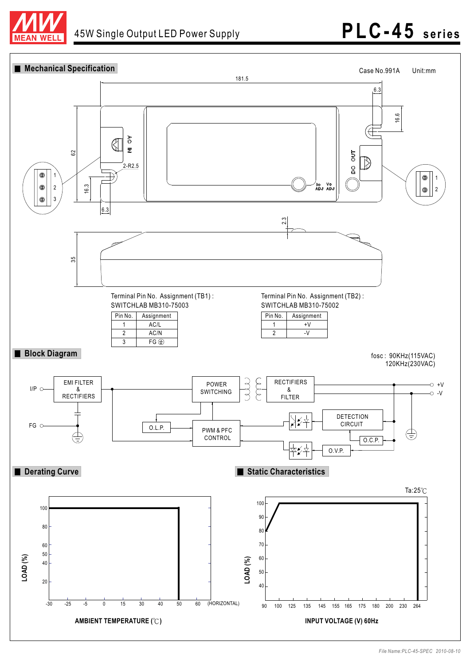

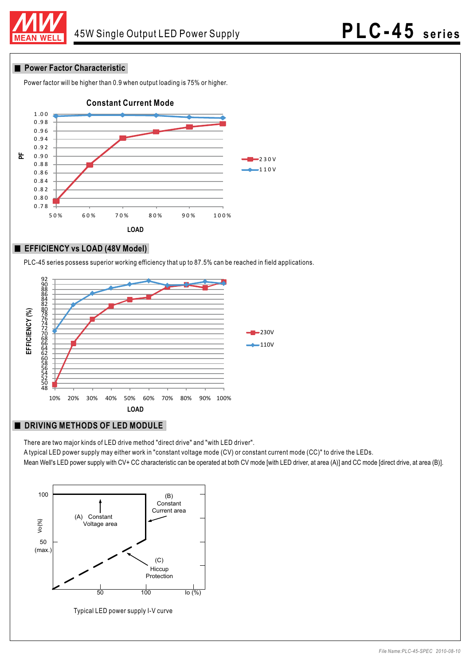

#### **Power Factor Characteristic**

Power factor will be higher than 0.9 when output loading is 75% or higher.



#### **EFFICIENCY vs LOAD (48V Model)**

PLC-45 series possess superior working efficiency that up to 87.5% can be reached in field applications.



#### **DRIVING METHODS OF LED MODULE**

There are two major kinds of LED drive method "direct drive" and "with LED driver".

A typical LED power supply may either work in "constant voltage mode (CV) or constant current mode (CC)" to drive the LEDs.

Mean Well's LED power supply with CV+ CC characteristic can be operated at both CV mode [with LED driver, at area (A)] and CC mode [direct drive, at area (B)].



Typical LED power supply I-V curve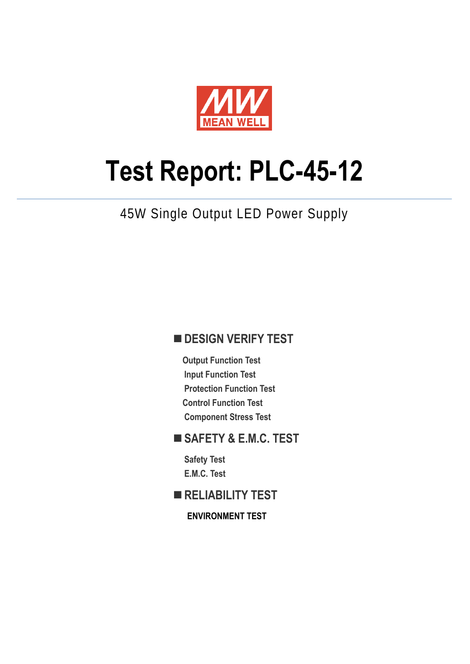

# **Test Report: PLC-45-12**

# 45W Single Output LED Power Supply

## **DESIGN VERIFY TEST**

**Output Function Test Input Function Test Protection Function Test Control Function Test Component Stress Test** 

## **SAFETY & E.M.C. TEST**

**Safety Test E.M.C. Test** 

**RELIABILITY TEST** 

**ENVIRONMENT TEST**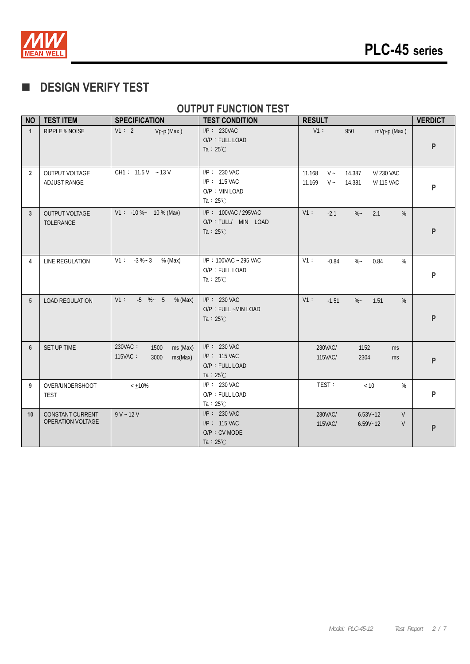

# **DESIGN VERIFY TEST**

## **OUTPUT FUNCTION TEST**

| <b>NO</b>      | <b>TEST ITEM</b>                             | <b>SPECIFICATION</b>                                      | <b>TEST CONDITION</b>                                                   | <b>RESULT</b>                                                                                     | <b>VERDICT</b> |
|----------------|----------------------------------------------|-----------------------------------------------------------|-------------------------------------------------------------------------|---------------------------------------------------------------------------------------------------|----------------|
| $\mathbf{1}$   | <b>RIPPLE &amp; NOISE</b>                    | V1:2<br>Vp-p (Max)                                        | $I/P$ : 230VAC<br>O/P: FULL LOAD<br>Ta : $25^{\circ}$ C                 | $V1$ :<br>950<br>mVp-p (Max)                                                                      | P              |
| $\overline{2}$ | <b>OUTPUT VOLTAGE</b><br>ADJUST RANGE        | CH1: $11.5V - 13V$                                        | $I/P$ : 230 VAC<br>I/P: 115 VAC<br>O/P: MIN LOAD<br>Ta : $25^{\circ}$ C | $V -$<br><b>V/230 VAC</b><br>11.168<br>14.387<br>11.169<br>$V \sim$<br><b>V/115 VAC</b><br>14.381 | P              |
| $\mathbf{3}$   | <b>OUTPUT VOLTAGE</b><br>TOLERANCE           | $V1: -10\% - 10\%$ (Max)                                  | I/P: 100VAC / 295VAC<br>O/P : FULL/ MIN LOAD<br>Ta : $25^{\circ}$ C     | V1:<br>$-2.1$<br>$\%$ ~<br>%<br>2.1                                                               | P              |
| 4              | LINE REGULATION                              | $-3 \%$ $-3$<br>V1:<br>% (Max)                            | I/P: 100VAC ~ 295 VAC<br>O/P: FULL LOAD<br>Ta : $25^{\circ}$ C          | V1:<br>$\%$<br>0.84<br>$\%$<br>$-0.84$                                                            | P              |
| 5              | <b>LOAD REGULATION</b>                       | $-5$ % $-5$<br>$V1$ :<br>% (Max)                          | I/P: 230 VAC<br>O/P: FULL ~MIN LOAD<br>Ta : $25^{\circ}$ C              | $V1$ :<br>$-1.51$<br>$\%$ ~<br>1.51<br>%                                                          | P              |
| 6              | SET UP TIME                                  | 230VAC:<br>1500<br>ms (Max)<br>115VAC:<br>3000<br>ms(Max) | I/P: 230 VAC<br>$I/P: 115$ VAC<br>O/P: FULL LOAD<br>Ta : $25^{\circ}$ C | 230VAC/<br>1152<br>ms<br>2304<br>115VAC/<br>ms                                                    | P              |
| 9              | OVER/UNDERSHOOT<br><b>TEST</b>               | $< +10\%$                                                 | I/P: 230 VAC<br>O/P: FULL LOAD<br>Ta : $25^{\circ}$ C                   | TEST:<br>$<10\,$<br>%                                                                             | P              |
| 10             | <b>CONSTANT CURRENT</b><br>OPERATION VOLTAGE | $9 V - 12 V$                                              | I/P: 230 VAC<br>I/P: 115 VAC<br>O/P : CV MODE<br>Ta : $25^{\circ}$ C    | 230VAC/<br>V<br>$6.53V - 12$<br>115VAC/<br>$6.59V - 12$<br>V                                      | P              |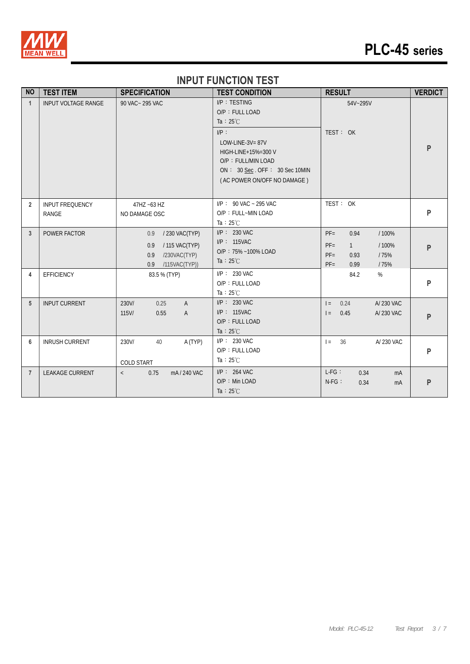

# **PLC-45 series**

# **INPUT FUNCTION TEST**

| <b>NO</b>      | <b>TEST ITEM</b>                       | <b>SPECIFICATION</b>                                                                          | <b>TEST CONDITION</b>                                                                                                                                                                               | <b>RESULT</b>                                                                                       | <b>VERDICT</b> |
|----------------|----------------------------------------|-----------------------------------------------------------------------------------------------|-----------------------------------------------------------------------------------------------------------------------------------------------------------------------------------------------------|-----------------------------------------------------------------------------------------------------|----------------|
| $\mathbf{1}$   | <b>INPUT VOLTAGE RANGE</b>             | 90 VAC ~ 295 VAC                                                                              | I/P: TESTING<br>O/P: FULL LOAD<br>Ta : $25^{\circ}$ C<br>$I/P$ :<br>LOW-LINE-3V= $87V$<br>HIGH-LINE+15%=300 V<br>O/P: FULL/MIN LOAD<br>ON: 30 Sec. OFF: 30 Sec 10MIN<br>(AC POWER ON/OFF NO DAMAGE) | 54V~295V<br>TEST: OK                                                                                | P              |
| $\overline{2}$ | <b>INPUT FREQUENCY</b><br><b>RANGE</b> | 47HZ ~63 HZ<br>NO DAMAGE OSC                                                                  | $I/P$ : 90 VAC ~ 295 VAC<br>O/P: FULL~MIN LOAD<br>Ta : $25^{\circ}$ C                                                                                                                               | TEST: OK                                                                                            | $\mathsf{P}$   |
| 3              | POWER FACTOR                           | / 230 VAC(TYP)<br>0.9<br>/ 115 VAC(TYP)<br>0.9<br>0.9<br>/230VAC(TYP)<br>/115VAC(TYP))<br>0.9 | $I/P$ : 230 VAC<br>I/P: 115VAC<br>O/P: 75% ~100% LOAD<br>Ta : $25^{\circ}$ C                                                                                                                        | $PF =$<br>0.94<br>/100%<br>$PF =$<br>/100%<br>1<br>$PF =$<br>0.93<br>/75%<br>$PF =$<br>/75%<br>0.99 | P              |
| 4              | EFFICIENCY                             | 83.5 % (TYP)                                                                                  | $I/P$ : 230 VAC<br>O/P: FULL LOAD<br>Ta : $25^{\circ}$ C                                                                                                                                            | 84.2<br>$\%$                                                                                        | P              |
| 5              | <b>INPUT CURRENT</b>                   | 230V/<br>0.25<br>$\overline{A}$<br>$115$ V/<br>0.55<br>$\overline{A}$                         | $I/P$ : 230 VAC<br>$I/P$ : 115VAC<br>O/P: FULL LOAD<br>Ta : $25^{\circ}$ C                                                                                                                          | 0.24<br>A/ 230 VAC<br>$=$<br>A/ 230 VAC<br>0.45<br>$=$                                              | P              |
| 6              | <b>INRUSH CURRENT</b>                  | A (TYP)<br>230V/<br>40<br>COLD START                                                          | $I/P$ : 230 VAC<br>O/P: FULL LOAD<br>Ta : $25^{\circ}$ C                                                                                                                                            | 36<br>A/ 230 VAC<br>$=$                                                                             | $\mathsf{P}$   |
| $\overline{7}$ | <b>LEAKAGE CURRENT</b>                 | mA / 240 VAC<br>0.75<br>$\langle$                                                             | $I/P$ : 264 VAC<br>O/P: Min LOAD<br>Ta : $25^{\circ}$ C                                                                                                                                             | $L-FG$ :<br>0.34<br>mA<br>$N-FG$ :<br>0.34<br>mA                                                    | P              |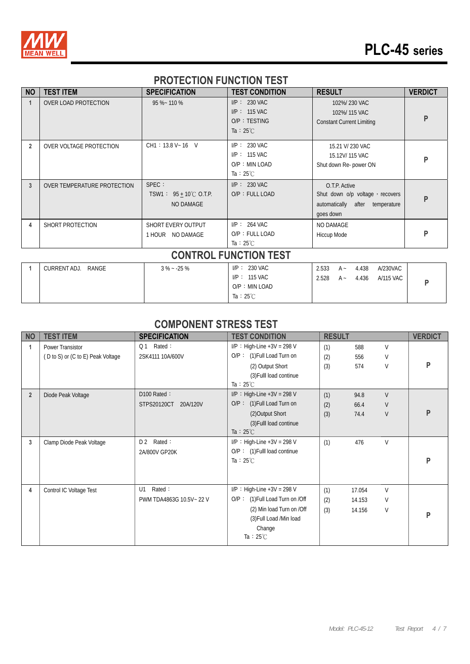

# **PLC-45 series**

## **PROTECTION FUNCTION TEST**

| <b>NO</b>      | <b>TEST ITEM</b>            | <b>SPECIFICATION</b>                                           | <b>TEST CONDITION</b>                                                     | <b>RESULT</b>                                                                                       | <b>VERDICT</b> |
|----------------|-----------------------------|----------------------------------------------------------------|---------------------------------------------------------------------------|-----------------------------------------------------------------------------------------------------|----------------|
|                | <b>OVER LOAD PROTECTION</b> | 95 %~ 110 %                                                    | $I/P: 230$ VAC<br>$I/P: 115$ VAC<br>O/P: TESTING<br>Ta : $25^{\circ}$ C   | 102%/230 VAC<br>102%/115 VAC<br><b>Constant Current Limiting</b>                                    | P              |
| $\overline{2}$ | OVER VOLTAGE PROTECTION     | CH1: 13.8 V ~ 16 V                                             | $I/P: 230$ VAC<br>$I/P$ : 115 VAC<br>O/P: MIN LOAD<br>Ta : $25^{\circ}$ C | 15.21 V/ 230 VAC<br>15.12V/115 VAC<br>Shut down Re- power ON                                        | P              |
| 3              | OVER TEMPERATURE PROTECTION | SPEC :<br>TSW1: $95 + 10^{\circ}$ C O.T.P.<br><b>NO DAMAGE</b> | $I/P: 230$ VAC<br>O/P: FULL LOAD                                          | O.T.P. Active<br>Shut down o/p voltage, recovers<br>automatically after<br>temperature<br>goes down | P              |
| 4              | SHORT PROTECTION            | SHORT EVERY OUTPUT<br>1 HOUR NO DAMAGE                         | $I/P$ : 264 VAC<br>O/P: FULL LOAD<br>Ta : $25^{\circ}$ C                  | <b>NO DAMAGE</b><br>Hiccup Mode                                                                     | P              |
|                |                             |                                                                | <b>CONTROL FUNCTION TEST</b>                                              |                                                                                                     |                |

| RANGE<br>CURRENT ADJ. | $3\% - 25\%$ | $I/P: 230$ VAC      | 2.533 | $A -$ | 4.438 | A/230VAC  |  |
|-----------------------|--------------|---------------------|-------|-------|-------|-----------|--|
|                       |              | $IP: 115$ VAC       | 2.528 | $A -$ | 4.436 | A/115 VAC |  |
|                       |              | O/P: MIN LOAD       |       |       |       |           |  |
|                       |              | Ta : $25^{\circ}$ C |       |       |       |           |  |

### **COMPONENT STRESS TEST**

| <b>NO</b>      | <b>TEST ITEM</b>                  | <b>SPECIFICATION</b>     | <b>TEST CONDITION</b>           | <b>RESULT</b> |        |        | <b>VERDICT</b> |
|----------------|-----------------------------------|--------------------------|---------------------------------|---------------|--------|--------|----------------|
| 1              | Power Transistor                  | Rated:<br>Q <sub>1</sub> | $I/P$ : High-Line +3V = 298 V   | (1)           | 588    | V      |                |
|                | (D to S) or (C to E) Peak Voltage | 2SK4111 10A/600V         | O/P: (1) Full Load Turn on      | (2)           | 556    | V      |                |
|                |                                   |                          | (2) Output Short                | (3)           | 574    | V      | P              |
|                |                                   |                          | (3) Fulll load continue         |               |        |        |                |
|                |                                   |                          | Ta : $25^{\circ}$ C             |               |        |        |                |
| $\overline{2}$ | Diode Peak Voltage                | D100 Rated:              | $I/P$ : High-Line +3V = 298 V   | (1)           | 94.8   | $\vee$ |                |
|                |                                   | STPS20120CT<br>20A/120V  | $O/P$ : (1) Full Load Turn on   | (2)           | 66.4   | V      |                |
|                |                                   |                          | (2) Output Short                | (3)           | 74.4   | V      | P              |
|                |                                   |                          | (3) Fulll load continue         |               |        |        |                |
|                |                                   |                          | Ta : $25^{\circ}$ C             |               |        |        |                |
| 3              | Clamp Diode Peak Voltage          | Rated:<br>D <sub>2</sub> | $I/P$ : High-Line +3V = 298 V   | (1)           | 476    | V      |                |
|                |                                   | 2A/800V GP20K            | $O/P$ : (1) Fulll load continue |               |        |        |                |
|                |                                   |                          | Ta : $25^{\circ}$ C             |               |        |        | P              |
|                |                                   |                          |                                 |               |        |        |                |
|                |                                   |                          |                                 |               |        |        |                |
| 4              | Control IC Voltage Test           | Rated:<br>U1             | $I/P$ : High-Line +3V = 298 V   | (1)           | 17.054 | V      |                |
|                |                                   | PWM TDA4863G 10.5V~22 V  | O/P: (1) Full Load Turn on /Off | (2)           | 14.153 | V      |                |
|                |                                   |                          | (2) Min load Turn on /Off       | (3)           | 14.156 | V      | P              |
|                |                                   |                          | (3) Full Load /Min load         |               |        |        |                |
|                |                                   |                          | Change                          |               |        |        |                |
|                |                                   |                          | Ta : $25^{\circ}$ C             |               |        |        |                |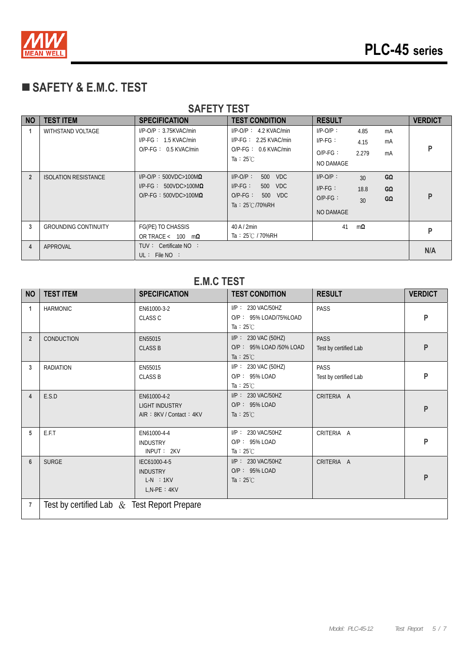

# **SAFETY & E.M.C. TEST**

| <b>SAFETY TEST</b> |                             |                                                                                                  |                                                                                                         |                                                                                                |                |  |  |
|--------------------|-----------------------------|--------------------------------------------------------------------------------------------------|---------------------------------------------------------------------------------------------------------|------------------------------------------------------------------------------------------------|----------------|--|--|
| NO                 | <b>TEST ITEM</b>            | <b>SPECIFICATION</b>                                                                             | <b>TEST CONDITION</b>                                                                                   | <b>RESULT</b>                                                                                  | <b>VERDICT</b> |  |  |
|                    | <b>WITHSTAND VOLTAGE</b>    | $I/P-O/P$ : 3.75KVAC/min<br>$I/P\text{-}FG: 1.5 KVAC/min$<br>$O/P-FG: 0.5$ KVAC/min              | $I/P$ -O/P : 4.2 KVAC/min<br>$I/P-FG: 2.25$ KVAC/min<br>$O/P-FG: 0.6$ KVAC/min<br>Ta : $25^{\circ}$ C   | $I/P-O/P$ :<br>4.85<br>mA<br>$IP-FG$ :<br>mA<br>4.15<br>$O/P-FG$ :<br>2.279<br>mA<br>NO DAMAGE | P              |  |  |
| $\overline{2}$     | <b>ISOLATION RESISTANCE</b> | $I/P$ -O/P: 500VDC>100M $\Omega$<br>$I/P-FG: 500VDC>100M\Omega$<br>O/P-FG: $500VDC > 100M\Omega$ | $I/P$ - $O/P$ :<br>500 VDC<br>$I/P-FG:$<br>500 VDC<br>$O/P-FG$ :<br>500 VDC<br>Ta: $25^{\circ}$ C/70%RH | $I/P-O/P$ :<br>GΩ<br>30<br>$IP-FG:$<br>GΩ<br>18.8<br>$O/P-FG$ :<br>GΩ<br>30<br>NO DAMAGE       | P              |  |  |
| 3                  | <b>GROUNDING CONTINUITY</b> | FG(PE) TO CHASSIS<br>OR TRACE < $100 \text{ m}\Omega$                                            | $40$ A $/$ 2min<br>Ta: 25℃ / 70%RH                                                                      | 41<br>$m\Omega$                                                                                | P              |  |  |
| 4                  | APPROVAL                    | TUV: Certificate NO:<br>UL: File NO:                                                             |                                                                                                         |                                                                                                | N/A            |  |  |

#### **E.M.C TEST**

| <b>NO</b>      | <b>TEST ITEM</b>                              | <b>SPECIFICATION</b>                                              | <b>TEST CONDITION</b>                                                 | <b>RESULT</b>                        | <b>VERDICT</b> |
|----------------|-----------------------------------------------|-------------------------------------------------------------------|-----------------------------------------------------------------------|--------------------------------------|----------------|
| $\mathbf{1}$   | <b>HARMONIC</b>                               | EN61000-3-2<br><b>CLASS C</b>                                     | I/P: 230 VAC/50HZ<br>O/P: 95% LOAD/75%LOAD<br>Ta : $25^{\circ}$ C     | PASS                                 | P              |
| $\overline{2}$ | CONDUCTION                                    | EN55015<br><b>CLASS B</b>                                         | I/P: 230 VAC (50HZ)<br>O/P: 95% LOAD /50% LOAD<br>Ta : $25^{\circ}$ C | <b>PASS</b><br>Test by certified Lab | P              |
| 3              | <b>RADIATION</b>                              | EN55015<br><b>CLASS B</b>                                         | I/P: 230 VAC (50HZ)<br>O/P: 95% LOAD<br>Ta : $25^{\circ}$ C           | PASS<br>Test by certified Lab        | P              |
| 4              | E.S.D                                         | EN61000-4-2<br><b>LIGHT INDUSTRY</b><br>AIR: 8KV / Contact: 4KV   | I/P: 230 VAC/50HZ<br>$O/P: 95\%$ LOAD<br>Ta : $25^{\circ}$ C          | CRITERIA A                           | P              |
| 5              | E.F.T                                         | EN61000-4-4<br><b>INDUSTRY</b><br>INPUT: 2KV                      | I/P: 230 VAC/50HZ<br>O/P: 95% LOAD<br>Ta : $25^{\circ}$ C             | CRITERIA A                           | P              |
| $6\phantom{1}$ | <b>SURGE</b>                                  | IEC61000-4-5<br><b>INDUSTRY</b><br>$L-N$ : 1KV<br>$L, N-PE : 4KV$ | I/P: 230 VAC/50HZ<br>O/P: 95% LOAD<br>Ta : $25^{\circ}$ C             | CRITERIA A                           | P              |
| $\overline{7}$ | Test by certified Lab $&$ Test Report Prepare |                                                                   |                                                                       |                                      |                |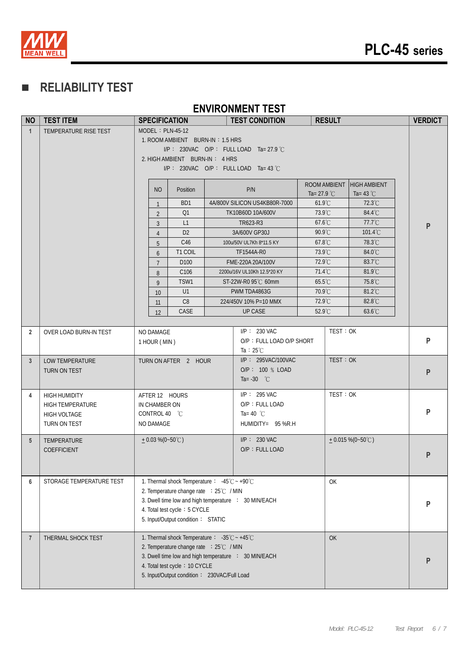

# **RELIABILITY TEST**

#### **ENVIRONMENT TEST**

| <b>NO</b>       | <b>TEST ITEM</b>         |                                  | <b>SPECIFICATION</b>                                                         |                  |  | <b>TEST CONDITION</b>                                | <b>RESULT</b>    |          |                     |   | <b>VERDICT</b> |  |
|-----------------|--------------------------|----------------------------------|------------------------------------------------------------------------------|------------------|--|------------------------------------------------------|------------------|----------|---------------------|---|----------------|--|
| $\mathbf{1}$    | TEMPERATURE RISE TEST    | $MODEL : PLN-45-12$              |                                                                              |                  |  |                                                      |                  |          |                     |   |                |  |
|                 |                          | 1. ROOM AMBIENT BURN-IN: 1.5 HRS |                                                                              |                  |  |                                                      |                  |          |                     |   |                |  |
|                 |                          |                                  |                                                                              |                  |  | I/P: 230VAC O/P: FULL LOAD Ta= 27.9 °C               |                  |          |                     |   |                |  |
|                 |                          |                                  | 2. HIGH AMBIENT BURN-IN: 4 HRS                                               |                  |  |                                                      |                  |          |                     |   |                |  |
|                 |                          |                                  | $IP: 230VAC$ O/P: FULL LOAD Ta=43 °C                                         |                  |  |                                                      |                  |          |                     |   |                |  |
|                 |                          |                                  |                                                                              |                  |  |                                                      | ROOM AMBIENT     |          | <b>HIGH AMBIENT</b> |   |                |  |
|                 |                          |                                  | NO                                                                           | Position         |  | P/N                                                  | Ta= 27.9 $°C$    |          | Ta= 43 $°C$         |   |                |  |
|                 |                          |                                  | $\mathbf{1}$                                                                 | B <sub>D</sub> 1 |  | 4A/800V SILICON US4KB80R-7000                        | $61.9^{\circ}$ C |          | 72.3°C              |   |                |  |
|                 |                          |                                  | $\overline{2}$                                                               | Q1               |  | TK10B60D 10A/600V                                    | 73.9°C           |          | 84.4°C              |   |                |  |
|                 |                          |                                  | 3                                                                            | L1               |  | TR623-R3                                             | 67.6°C           |          | $77.7^{\circ}$ C    |   | P              |  |
|                 |                          |                                  | $\overline{4}$                                                               | D <sub>2</sub>   |  | 3A/600V GP30J                                        | $90.9^{\circ}$ C |          | $101.4^{\circ}$ C   |   |                |  |
|                 |                          |                                  | 5                                                                            | C46              |  | 100u/50V UL7Kh 8*11.5 KY                             | $67.8^{\circ}$ C |          | 78.3°C              |   |                |  |
|                 |                          |                                  | 6                                                                            | T1 COIL          |  | TF1544A-R0                                           | 73.9°C           |          | 84.0°C              |   |                |  |
|                 |                          |                                  | $\overline{7}$                                                               | D <sub>100</sub> |  | FME-220A 20A/100V                                    | 72.9°C           |          | 83.7°C              |   |                |  |
|                 |                          |                                  | 8                                                                            | C106             |  | 2200u/16V UL10Kh 12.5*20 KY                          | 71.4°C           |          | 81.9°C              |   |                |  |
|                 |                          |                                  | 9                                                                            | TSW1             |  | ST-22W-R0 95℃ 60mm                                   | 65.5°C           |          | 75.8°C              |   |                |  |
|                 |                          |                                  | 10 <sup>°</sup>                                                              | U1               |  | PWM TDA4863G                                         | $70.9^{\circ}$ C |          | 81.2°C              |   |                |  |
|                 |                          |                                  | 11                                                                           | C8               |  | 224/450V 10% P=10 MMX                                | 72.9°C           |          | 82.8°C              |   |                |  |
|                 |                          |                                  | 12                                                                           | CASE             |  | <b>UP CASE</b>                                       | 52.9°C           |          | 63.6°C              |   |                |  |
|                 |                          |                                  |                                                                              |                  |  |                                                      |                  |          |                     |   |                |  |
| $\overline{2}$  | OVER LOAD BURN-IN TEST   | NO DAMAGE                        |                                                                              |                  |  | $I/P$ : 230 VAC                                      |                  | TEST: OK |                     |   |                |  |
|                 |                          |                                  | 1 HOUR (MIN)                                                                 |                  |  | O/P: FULL LOAD O/P SHORT                             |                  |          |                     |   | P              |  |
|                 |                          |                                  |                                                                              |                  |  | Ta : $25^{\circ}$ C                                  |                  |          |                     |   |                |  |
| $\mathbf{3}$    | LOW TEMPERATURE          |                                  | TURN ON AFTER 2 HOUR                                                         |                  |  | I/P: 295VAC/100VAC<br>O/P: 100 % LOAD                |                  | TEST: OK |                     |   | P              |  |
|                 | TURN ON TEST             |                                  |                                                                              |                  |  | Ta= $-30$ °C                                         |                  |          |                     |   |                |  |
|                 |                          |                                  |                                                                              |                  |  |                                                      |                  |          |                     |   |                |  |
| 4               | <b>HIGH HUMIDITY</b>     |                                  | AFTER 12 HOURS                                                               |                  |  | $I/P$ : 295 VAC                                      |                  | TEST: OK |                     |   |                |  |
|                 | <b>HIGH TEMPERATURE</b>  |                                  | IN CHAMBER ON                                                                |                  |  | O/P: FULL LOAD                                       |                  |          |                     |   |                |  |
|                 | HIGH VOLTAGE             |                                  | CONTROL 40 °C                                                                |                  |  | Ta= 40 $^{\circ}$ C                                  |                  |          |                     |   | P              |  |
|                 | TURN ON TEST             | NO DAMAGE                        |                                                                              |                  |  | HUMIDITY= 95 %R.H                                    |                  |          |                     |   |                |  |
| $5\phantom{.0}$ | TEMPERATURE              |                                  | $+0.03\%$ (0~50°C)                                                           |                  |  | $I/P$ : 230 VAC                                      |                  |          | $+0.015\%$ (0~50°C) |   |                |  |
|                 | COEFFICIENT              |                                  |                                                                              |                  |  | O/P: FULL LOAD                                       |                  |          |                     |   |                |  |
|                 |                          |                                  |                                                                              |                  |  |                                                      |                  |          |                     |   | P              |  |
|                 |                          |                                  |                                                                              |                  |  |                                                      |                  |          |                     |   |                |  |
| 6               | STORAGE TEMPERATURE TEST |                                  | 1. Thermal shock Temperature: $-45^{\circ}\text{C} \sim +90^{\circ}\text{C}$ |                  |  |                                                      |                  | OK       |                     |   |                |  |
|                 |                          |                                  | 2. Temperature change rate : 25℃ / MIN                                       |                  |  |                                                      |                  |          |                     |   |                |  |
|                 |                          |                                  |                                                                              |                  |  | 3. Dwell time low and high temperature : 30 MIN/EACH |                  |          |                     |   | P              |  |
|                 |                          |                                  | 4. Total test cycle: 5 CYCLE                                                 |                  |  |                                                      |                  |          |                     |   |                |  |
|                 |                          |                                  | 5. Input/Output condition: STATIC                                            |                  |  |                                                      |                  |          |                     |   |                |  |
|                 |                          |                                  |                                                                              |                  |  |                                                      |                  |          |                     |   |                |  |
| $\overline{7}$  | THERMAL SHOCK TEST       |                                  | 1. Thermal shock Temperature: $-35^{\circ}\text{C} \sim +45^{\circ}\text{C}$ |                  |  |                                                      |                  | OK       |                     |   |                |  |
|                 |                          |                                  | 2. Temperature change rate : 25°C / MIN                                      |                  |  |                                                      |                  |          |                     | P |                |  |
|                 |                          |                                  |                                                                              |                  |  | 3. Dwell time low and high temperature : 30 MIN/EACH |                  |          |                     |   |                |  |
|                 |                          |                                  | 4. Total test cycle: 10 CYCLE<br>5. Input/Output condition: 230VAC/Full Load |                  |  |                                                      |                  |          |                     |   |                |  |
|                 |                          |                                  |                                                                              |                  |  |                                                      |                  |          |                     |   |                |  |